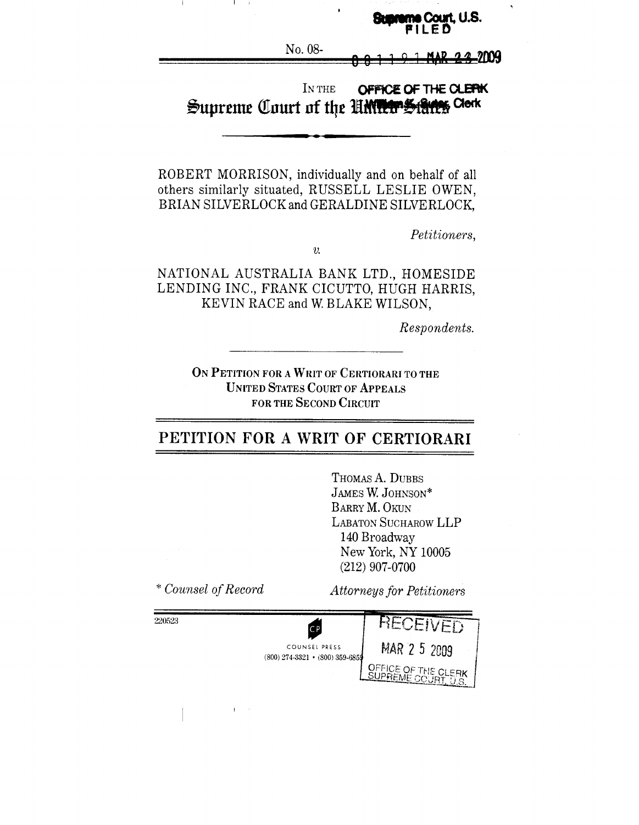#### **xme Court, U.S.** ЕБ

No. 08-

I

#### IN THE OFFICE OF THE CLERK **Butes** Clerk Supreme Court of the UMWOS

ROBERT MORRISON, individually and on behalf of all others similarly situated, RUSSELL LESLIE OWEN, BRIAN SILVERLOCK and GERALDINE SILVERLOCK,

*Petitioners,*

 $\upsilon$ .

NATIONAL AUSTRALIA BANK LTD., HOMESIDE LENDING INC., FRANK CICUTTO, HUGH HARRIS, KEVIN RACE and W. BLAKE WILSON,

*Respondents.*

ON PETITION FOR A WRIT OF CERTIORARI TO THE UNITED STATES COURT OF APPEALS FOR THE SECOND CIRCUIT

# **PETITION FOR A WRIT OF CERTIORARI**

THOMAS A. DUBBS JAMES W. JOHNSON\* BARRY M. OKUN LABATON SUCHAROW LLP 140 Broadway New York, NY 10005 (212) 907-0700

*\* Counsel of Record Attorneys for Petitioners* 220523RECEIVED CB COUNSEL PRESS MAR 2 5 2009  $(800)$  274-3321 •  $(800)$  359-6859 **OFFICE OF THE CLERK**<br>SUPREME COURT, U.S.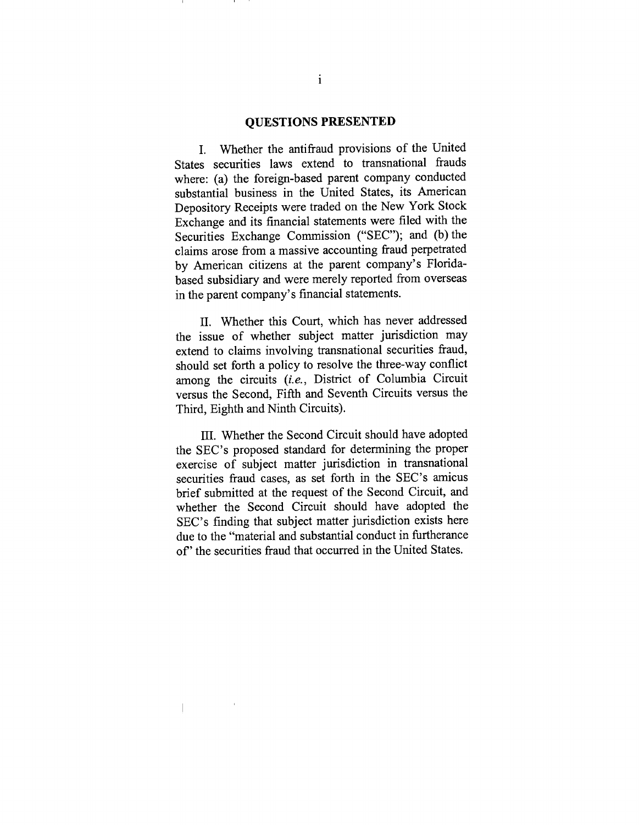#### **QUESTIONS PRESENTED**

I. Whether the antifraud provisions of the United States securities laws extend to transnational frauds where: (a) the foreign-based parent company conducted substantial business in the United States, its American Depository Receipts were traded on the New York Stock Exchange and its financial statements were filed with the Securities Exchange Commission ("SEC"); and (b) the claims arose from a massive accounting fraud perpetrated by American citizens at the parent company's Floridabased subsidiary and were merely reported from overseas in the parent company's financial statements.

II. Whether this Court, which has never addressed the issue of whether subject matter jurisdiction may extend to claims involving transnational securities fraud, should set forth a policy to resolve the three-way conflict among the circuits *(i.e.,* District of Columbia Circuit versus the Second, Fifth and Seventh Circuits versus the Third, Eighth and Ninth Circuits).

III. Whether the Second Circuit should have adopted the SEC's proposed standard for determining the proper exercise of subject matter jurisdiction in transnational securities fraud cases, as set forth in the SEC's amicus brief submitted at the request of the Second Circuit, and whether the Second Circuit should have adopted the SEC's finding that subject matter jurisdiction exists here due to the "material and substantial conduct in furtherance of" the securities fraud that occurred in the United States.

 $\overline{1}$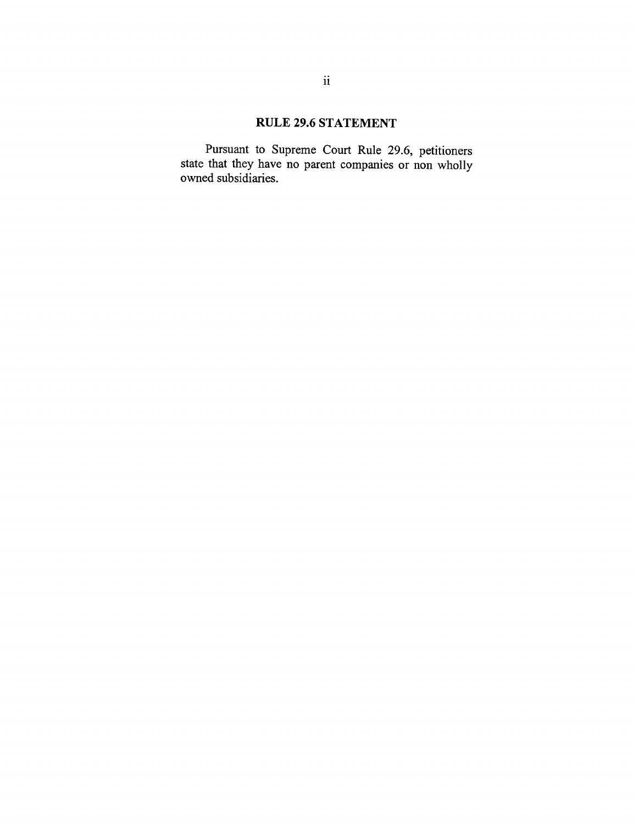# RULE 29.6 STATEMENT

Pursuant to Supreme Court Rule 29.6, petitioners state that they have no parent companies or non wholly owned subsidiaries.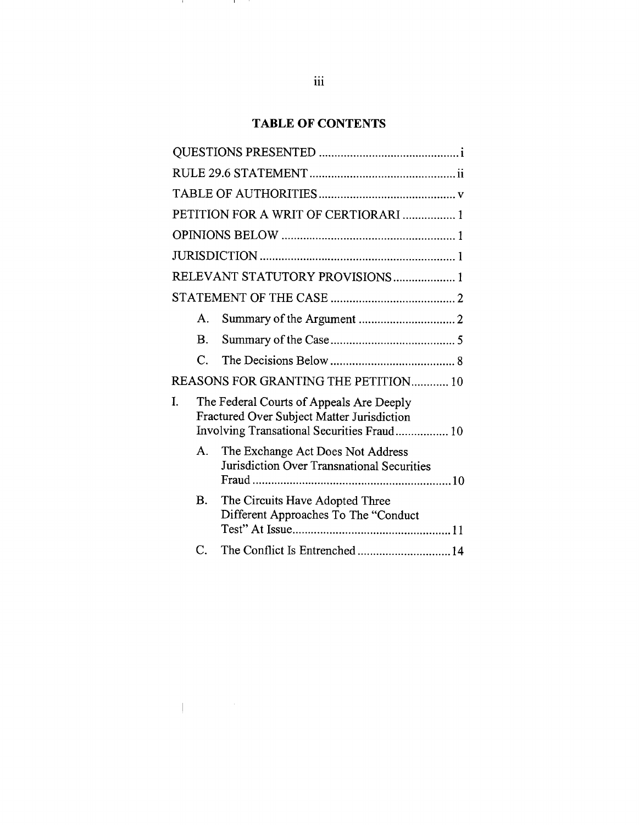# **TABLE OF CONTENTS**

|    |                       | PETITION FOR A WRIT OF CERTIORARI  1                                                                                                 |
|----|-----------------------|--------------------------------------------------------------------------------------------------------------------------------------|
|    |                       |                                                                                                                                      |
|    |                       |                                                                                                                                      |
|    |                       | RELEVANT STATUTORY PROVISIONS 1                                                                                                      |
|    |                       |                                                                                                                                      |
|    | $\mathsf{A}$ .        |                                                                                                                                      |
|    | В.                    |                                                                                                                                      |
|    | $\mathcal{C}_{\cdot}$ |                                                                                                                                      |
|    |                       | REASONS FOR GRANTING THE PETITION 10                                                                                                 |
| I. |                       | The Federal Courts of Appeals Are Deeply<br>Fractured Over Subject Matter Jurisdiction<br>Involving Transational Securities Fraud 10 |
|    | A.                    | The Exchange Act Does Not Address<br>Jurisdiction Over Transnational Securities                                                      |
|    | Β.                    | The Circuits Have Adopted Three<br>Different Approaches To The "Conduct                                                              |
|    | C.                    | The Conflict Is Entrenched14                                                                                                         |

and the

and the

 $\label{eq:1} \frac{1}{\prod_{i=1}^n\left(\frac{1}{\lambda_i}\right)^{n_i}}\left(\frac{1}{\lambda_i}\right)^{n_i}\left(\frac{1}{\lambda_i}\right)^{n_i}$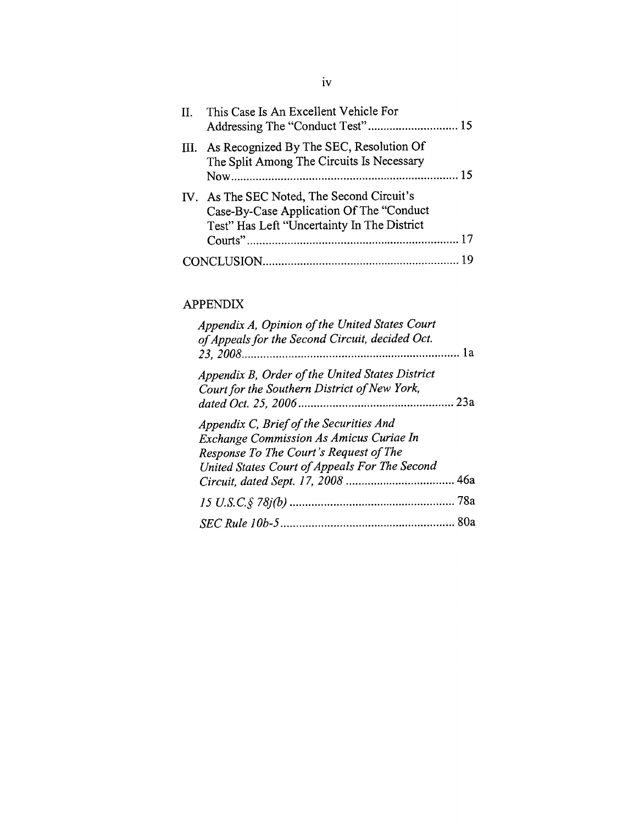| II. This Case Is An Excellent Vehicle For                                                                                             |
|---------------------------------------------------------------------------------------------------------------------------------------|
| III. As Recognized By The SEC, Resolution Of<br>The Split Among The Circuits Is Necessary                                             |
| IV. As The SEC Noted, The Second Circuit's<br>Case-By-Case Application Of The "Conduct<br>Test" Has Left "Uncertainty In The District |
|                                                                                                                                       |
|                                                                                                                                       |

# **APPENDIX**

| Appendix A, Opinion of the United States Court<br>of Appeals for the Second Circuit, decided Oct.                                                                                    |  |
|--------------------------------------------------------------------------------------------------------------------------------------------------------------------------------------|--|
| Appendix B, Order of the United States District<br>Court for the Southern District of New York,                                                                                      |  |
| Appendix C, Brief of the Securities And<br><b>Exchange Commission As Amicus Curiae In</b><br>Response To The Court's Request of The<br>United States Court of Appeals For The Second |  |
|                                                                                                                                                                                      |  |
|                                                                                                                                                                                      |  |
|                                                                                                                                                                                      |  |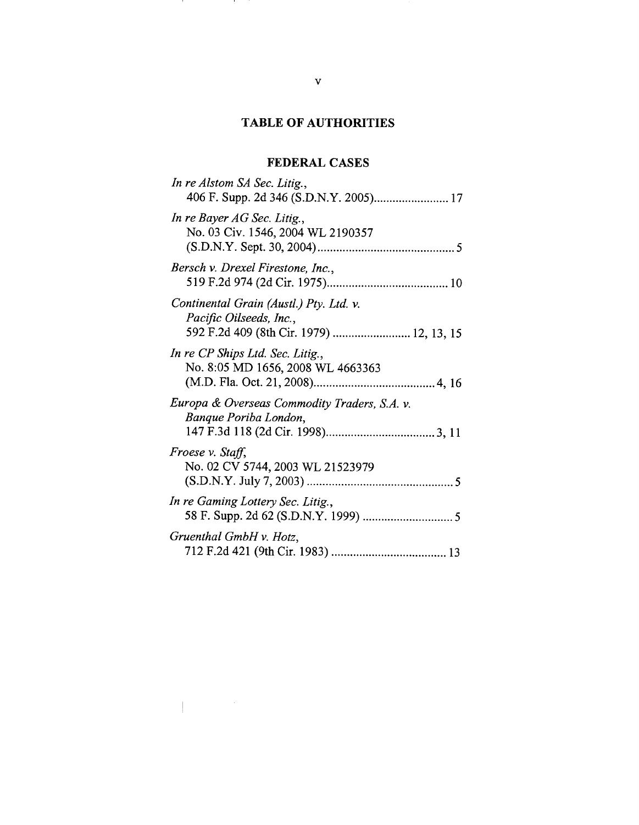# **TABLE OF AUTHORITIES**

# **FEDERAL CASES**

| In re Alstom SA Sec. Litig.,                                                                                   |
|----------------------------------------------------------------------------------------------------------------|
| In re Bayer AG Sec. Litig.,<br>No. 03 Civ. 1546, 2004 WL 2190357                                               |
| Bersch v. Drexel Firestone, Inc.,                                                                              |
| Continental Grain (Austl.) Pty. Ltd. v.<br>Pacific Oilseeds, Inc.,<br>592 F.2d 409 (8th Cir. 1979)  12, 13, 15 |
| In re CP Ships Ltd. Sec. Litig.,<br>No. 8:05 MD 1656, 2008 WL 4663363                                          |
| Europa & Overseas Commodity Traders, S.A. v.<br>Banque Poriba London,                                          |
| Froese v. Staff,<br>No. 02 CV 5744, 2003 WL 21523979                                                           |
| In re Gaming Lottery Sec. Litig.,                                                                              |
| Gruenthal GmbH v. Hotz,                                                                                        |

and the con-

and the

 $\label{eq:1.1} \left\{ \begin{array}{cc} \mathcal{L}_{\text{max}} & \mathcal{L}_{\text{max}} \\ \mathcal{L}_{\text{max}} & \mathcal{L}_{\text{max}} \end{array} \right.$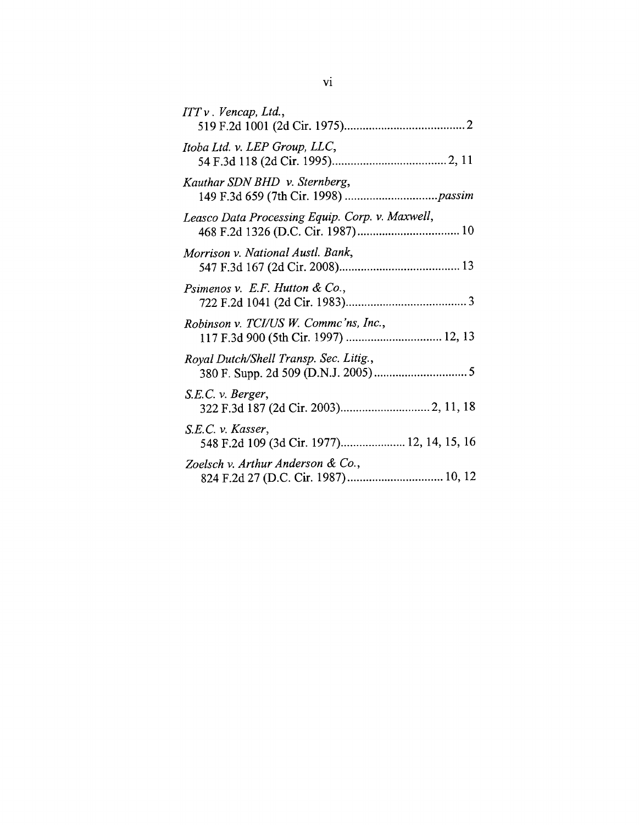| ITT v. Vencap, Ltd.,                                              |  |
|-------------------------------------------------------------------|--|
| Itoba Ltd. v. LEP Group, LLC,                                     |  |
| Kauthar SDN BHD v. Sternberg,                                     |  |
| Leasco Data Processing Equip. Corp. v. Maxwell,                   |  |
| Morrison v. National Austl. Bank,                                 |  |
| Psimenos v. E.F. Hutton & Co.,                                    |  |
| Robinson v. TCI/US W. Commc'ns, Inc.,                             |  |
| Royal Dutch/Shell Transp. Sec. Litig.,                            |  |
| S.E.C. v. Berger,                                                 |  |
| $S.E.C.$ v. Kasser,<br>548 F.2d 109 (3d Cir. 1977) 12, 14, 15, 16 |  |
| Zoelsch v. Arthur Anderson & Co.,                                 |  |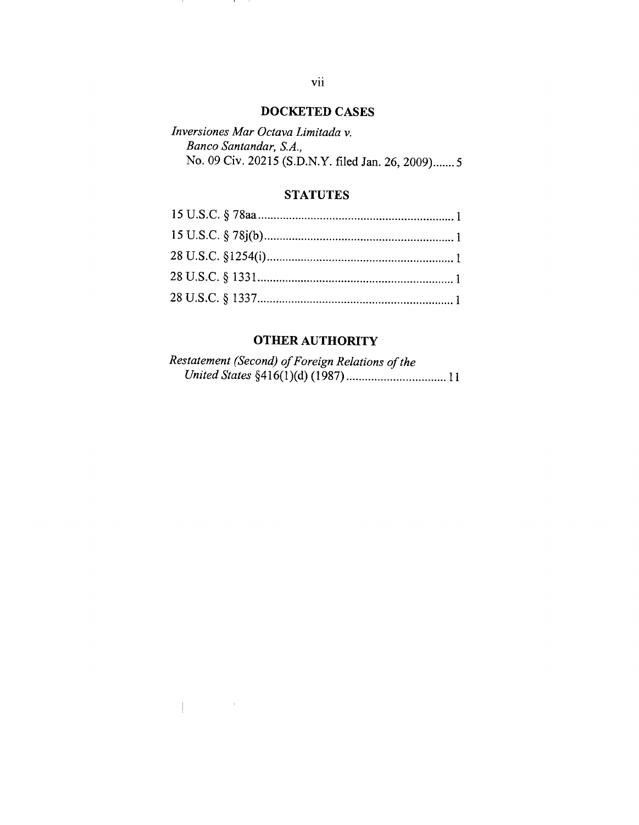# **DOCKETED CASES**

| Inversiones Mar Octava Limitada v.                 |  |
|----------------------------------------------------|--|
| Banco Santandar, S.A.,                             |  |
| No. 09 Civ. 20215 (S.D.N.Y. filed Jan. 26, 2009) 5 |  |

## **STATUTES**

# **OTHER AUTHORITY**

| Restatement (Second) of Foreign Relations of the |  |
|--------------------------------------------------|--|
|                                                  |  |

11 Mill

and the

 $\label{eq:2.1} \frac{1}{\sqrt{2\pi}}\int_{\mathbb{R}^{3}}\left|\frac{d\mu}{\mu}\right|^{2}d\mu\leq\frac{1}{2\sqrt{2\pi}}\int_{\mathbb{R}^{3}}\left|\frac{d\mu}{\mu}\right|^{2}d\mu.$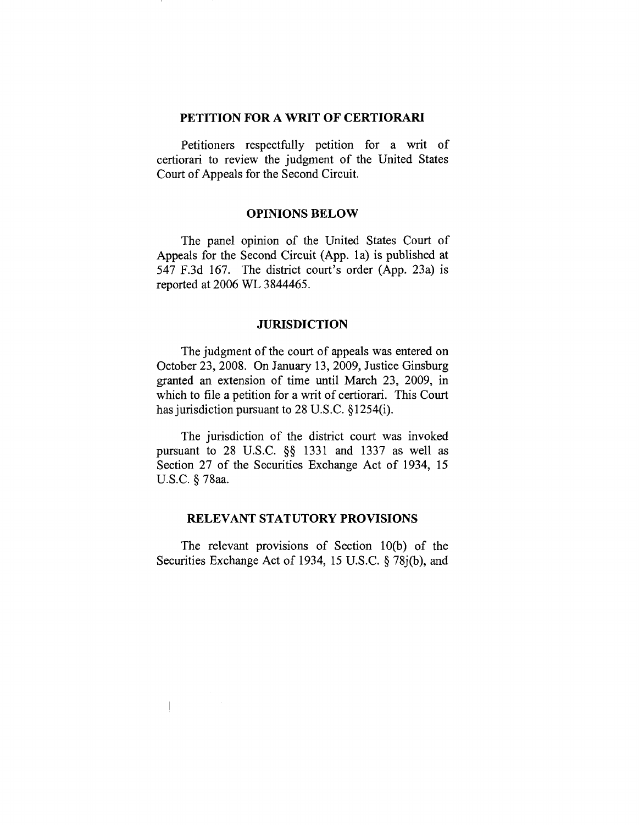#### **PETITION FOR A WRIT OF CERTIORARI**

Petitioners respectfully petition for a writ of certiorari to review the judgment of the United States Court of Appeals for the Second Circuit.

### **OPINIONS BELOW**

The panel opinion of the United States Court of Appeals for the Second Circuit (App. la) is published at 547 F.3d 167. The district court's order (App. 23a) is reported at 2006 WL 3844465.

### **JURISDICTION**

The judgment of the court of appeals was entered on October 23, 2008. On January 13, 2009, Justice Ginsburg granted an extension of time until March 23, 2009, in which to file a petition for a writ of certiorari. This Court has jurisdiction pursuant to 28 U.S.C. § 1254(i).

The jurisdiction of the district court was invoked pursuant to 28 U.S.C. §§ 1331 and 1337 as well as Section 27 of the Securities Exchange Act of 1934, 15 U.S.C. § 78aa.

### **RELEVANT STATUTORY PROVISIONS**

The relevant provisions of Section 10(b) of the Securities Exchange Act of 1934, 15 U.S.C. § 78j(b), and

 $\overline{\phantom{a}}$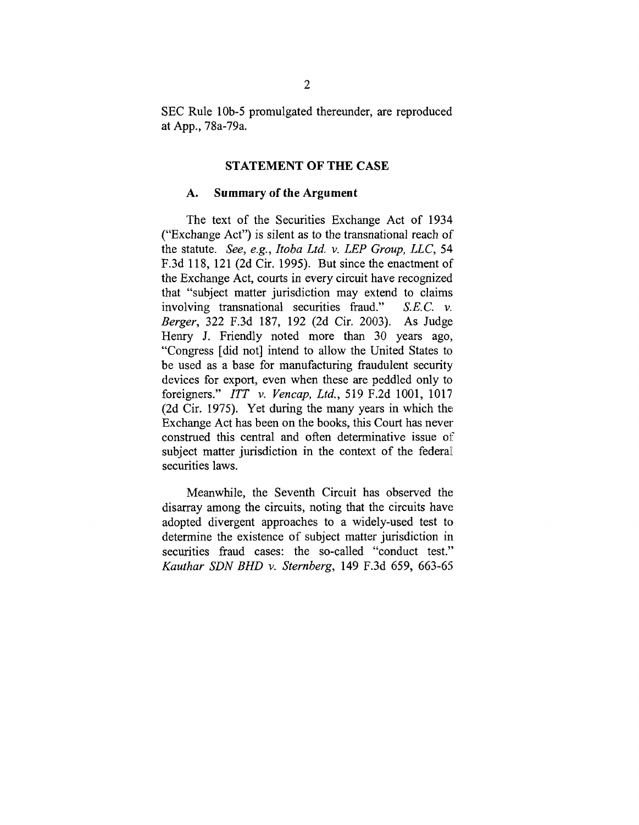SEC Rule 10b-5 promulgated thereunder, are reproduced at App., 78a-79a.

#### **STATEMENT OF THE CASE**

#### **A. Summary of the Argument**

The text of the Securities Exchange Act of 1934 ("Exchange Act") is silent as to the transnational reach of the statute. *See, e.g., Itoba Ltd. v. LEP Group, LLC,* 54 F.3d 118, 121 (2d Cir. 1995). But since the enactment of the Exchange Act, courts in every circuit have recognized that "subject matter jurisdiction may extend to claims involving transnational securities fraud."*S.E.C.v. Berger,* 322 F.3d 187, 192 (2d Cir. 2003). As Judge Henry J. Friendly noted more than 30 years ago, "Congress [did not] intend to allow the United States to be used as a base for manufacturing fraudulent security devices for export, even when these are peddled only to foreigners." *ITT v. Vencap, Ltd.,* 519 F.2d 1001, 1017 (2d Cir. 1975). Yet during the many years in which the Exchange Act has been on the books, this Court has never construed this central and often determinative issue of subject matter jurisdiction in the context of the federal securities laws.

Meanwhile, the Seventh Circuit has observed the disarray among the circuits, noting that the circuits have adopted divergent approaches to a widely-used test to determine the existence of subject matter jurisdiction in securities fraud cases: the so-called "conduct test." *Kauthar SDN BHD v. Sternberg,* 149 F.3d 659, 663-65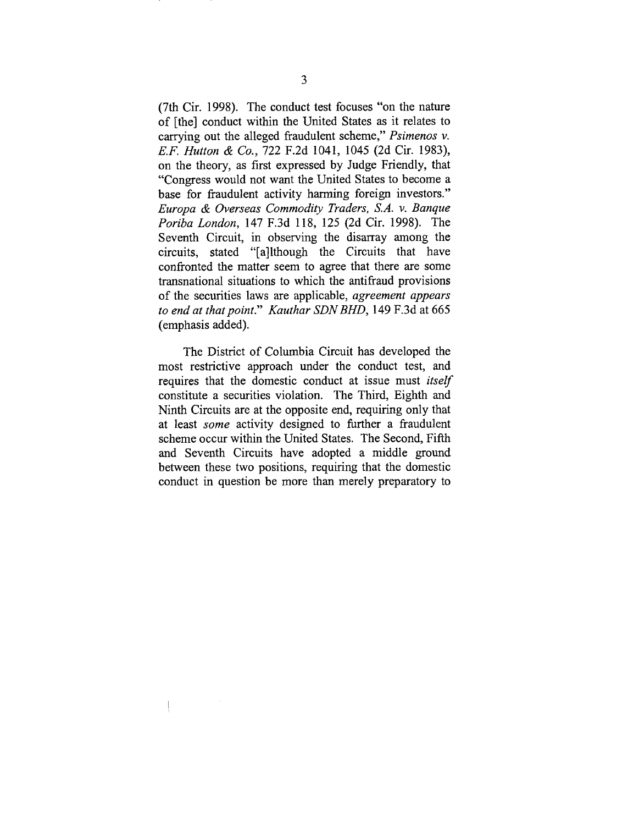(7th Cir. 1998). The conduct test focuses "on the nature of [the] conduct within the United States as it relates to carrying out the alleged fraudulent scheme," *Psimenos v. E.F. Hutton & Co.,* 722 F.2d 1041, 1045 (2d Cir. 1983), on the theory, as first expressed by Judge Friendly, that "Congress would not want the United States to become a base for fraudulent activity harming foreign investors." *Europa & Overseas Commodity Traders, S.A. v. Banque Poriba London,* 147 F.3d 118, 125 (2d Cir. 1998). The Seventh Circuit, in observing the disarray among the circuits, stated "[a]lthough the Circuits that have confronted the matter seem to agree that there are some transnational situations to which the antifraud provisions of the securities laws are applicable, *agreement appears to end at that point." Kauthar SDN BHD,* 149 F.3d at 665 (emphasis added).

The District of Columbia Circuit has developed the most restrictive approach under the conduct test, and requires that the domestic conduct at issue must *itself* constitute a securities violation. The Third, Eighth and Ninth Circuits are at the opposite end, requiring only that at least *some* activity designed to further a fraudulent scheme occur within the United States. The Second, Fifth and Seventh Circuits have adopted a middle ground between these two positions, requiring that the domestic conduct in question be more than merely preparatory to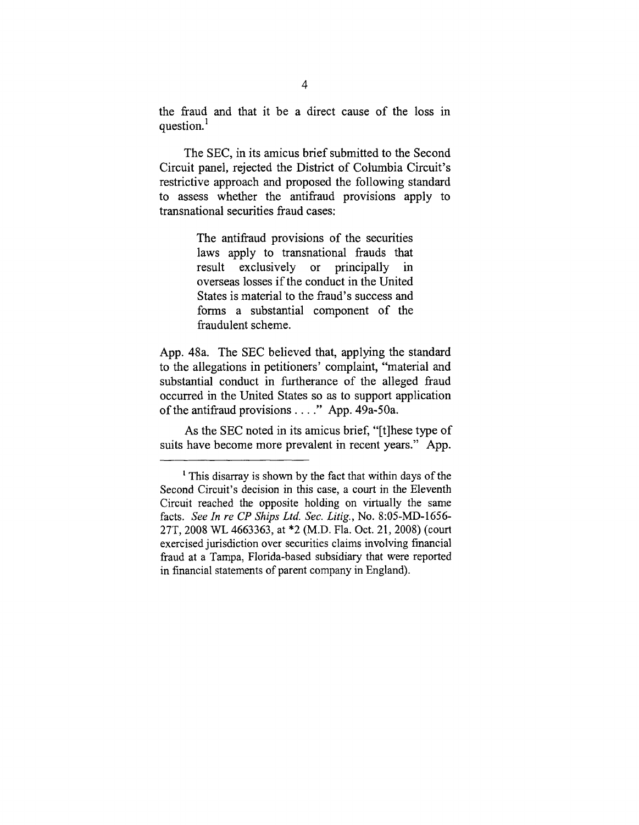the fraud and that it be a direct cause of the loss in question.<sup>1</sup>

The SEC, in its amicus brief submitted to the Second Circuit panel, rejected the District of Columbia Circuit's restrictive approach and proposed the following standard to assess whether the antifraud provisions apply to transnational securities fraud cases:

> The antifraud provisions of the securities laws apply to transnational frauds that result exclusively or principally in overseas losses if the conduct in the United States is material to the fraud's success and forms a substantial component of the fraudulent scheme.

App. 48a. The SEC believed that, applying the standard to the allegations in petitioners' complaint, "material and substantial conduct in furtherance of the alleged fraud occurred in the United States so as to support application of the antifraud provisions .... " App. 49a-50a.

As the SEC noted in its amicus brief, "[t]hese type of suits have become more prevalent in recent years." App.

 $<sup>1</sup>$  This disarray is shown by the fact that within days of the</sup> Second Circuit's decision in this case, a court in the Eleventh Circuit reached the opposite holding on virtually the same facts. *See In re CP Ships Ltd. Sec. Litig.,* No. 8:05-MD-1656- 27T, 2008 WL 4663363, at \*2 (M.D. Fla. Oct. 21, 2008) (court exercised jurisdiction over securities claims involving financial fraud at a Tampa, Florida-based subsidiary that were reported in financial statements of parent company in England).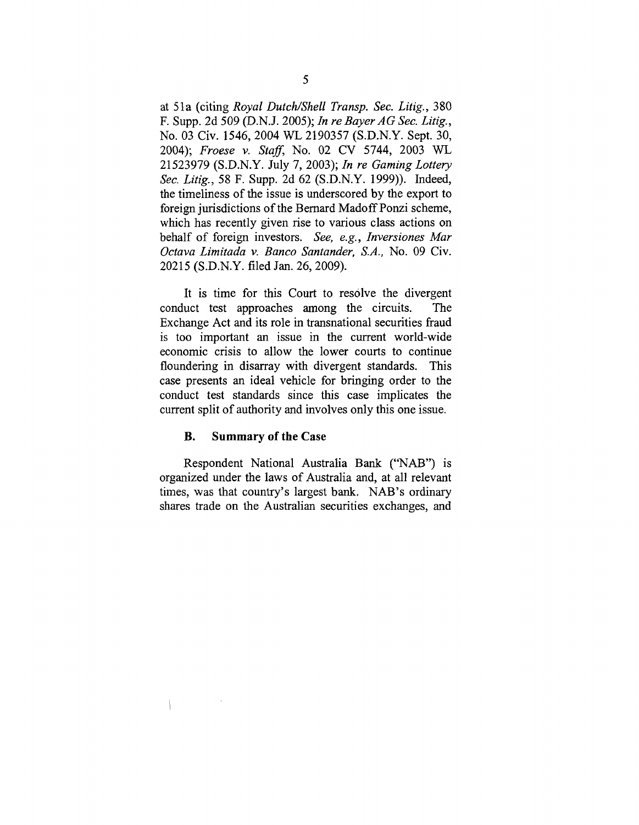at 51a (citing *Royal Dutch~Shell Transp. Sec. Litig.,* 380 F. Supp. 2d 509 (D.N.J. 2005); *In re BayerAG See. Litig.,* No. 03 Civ. 1546, 2004 WL 2190357 (S.D.N.Y. Sept. 30, 2004); *Froese v. Staff,* No. 02 CV 5744, 2003 WL 21523979 (S.D.N.Y. July 7, 2003); *In re Gaming Lottery Sec. Litig.,* 58 F. Supp. 2d 62 (S.D.N.Y. 1999)). Indeed, the timeliness of the issue is underscored by the export to foreign jurisdictions of the Bernard Madoff Ponzi scheme, which has recently given rise to various class actions on behalf of foreign investors. *See, e.g., Inversiones Mar Octava Limitada v. Banco Santander, S.A.,* No. 09 Civ. 20215 (S.D.N.Y. filed Jan. 26, 2009).

It is time for this Court to resolve the divergent conduct test approaches among the circuits. The Exchange Act and its role in transnational securities fraud is too important an issue in the current world-wide economic crisis to allow the lower courts to continue floundering in disarray with divergent standards. This case presents an ideal vehicle for bringing order to the conduct test standards since this case implicates the current split of authority and involves only this one issue.

#### **B. Summary of the Case**

Respondent National Australia Bank ("NAB") is organized under the laws of Australia and, at all relevant times, was that country's largest bank. NAB's ordinary shares trade on the Australian securities exchanges, and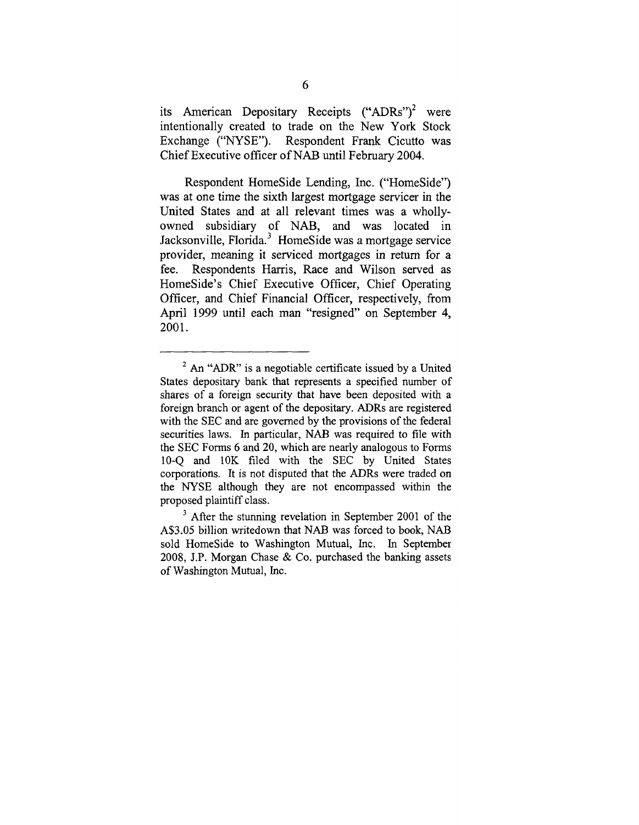its American Depositary Receipts  $("ADRs")^2$  were intentionally created to trade on the New York Stock Exchange ("NYSE"). Respondent Frank Cicutto was Chief Executive officer of NAB until February 2004.

Respondent HomeSide Lending, Inc. ("HomeSide") was at one time the sixth largest mortgage servicer in the United States and at all relevant times was a whollyowned subsidiary of NAB, and was located in Jacksonville, Florida.<sup>3</sup> HomeSide was a mortgage service provider, meaning it serviced mortgages in return for a fee. Respondents Harris, Race and Wilson served as HomeSide's Chief Executive Officer, Chief Operating Officer, and Chief Financial Officer, respectively, from April 1999 until each man "resigned" on September 4, 2001.

 $2$  An "ADR" is a negotiable certificate issued by a United States depositary bank that represents a specified number of shares of a foreign security that have been deposited with a foreign branch or agent of the depositary. ADRs are registered with the SEC and are governed by the provisions of the federal securities laws. In particular, NAB was required to file with the SEC Forms 6 and 20, which are nearly analogous to Forms 10-Q and 10K filed with the SEC by United States corporations. It is not disputed that the ADRs were traded on the NYSE although they are not encompassed within the proposed plaintiff class.

 $<sup>3</sup>$  After the stunning revelation in September 2001 of the</sup> A\$3.05 billion writedown that NAB was forced to book, NAB sold HomeSide to Washington Mutual, Inc. In September 2008, J.P. Morgan Chase & Co. purchased the banking assets of Washington Mutual, Inc.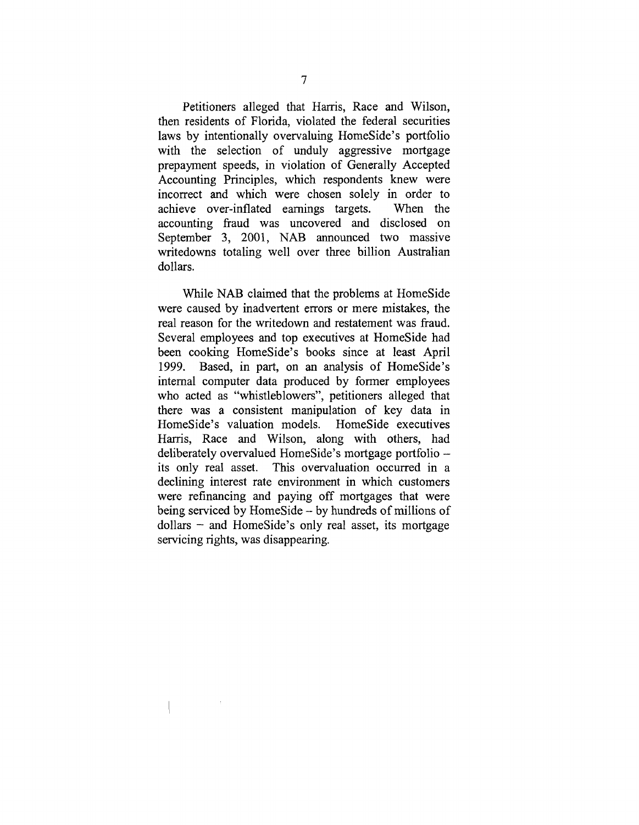Petitioners alleged that Harris, Race and Wilson, then residents of Florida, violated the federal securities laws by intentionally overvaluing HomeSide's portfolio with the selection of unduly aggressive mortgage prepayment speeds, in violation of Generally Accepted Accounting Principles, which respondents knew were incorrect and which were chosen solely in order to achieve over-inflated earnings targets. When the accounting fraud was uncovered and disclosed on September 3, 2001, NAB announced two massive writedowns totaling well over three billion Australian dollars.

While NAB claimed that the problems at HomeSide were caused by inadvertent errors or mere mistakes, the real reason for the writedown and restatement was fraud. Several employees and top executives at HomeSide had been cooking HomeSide's books since at least April 1999. Based, in part, on an analysis of HomeSide's internal computer data produced by former employees who acted as "whistleblowers", petitioners alleged that there was a consistent manipulation of key data in HomeSide's valuation models. HomeSide executives Harris, Race and Wilson, along with others, had deliberately overvalued HomeSide's mortgage portfolio its only real asset. This overvaluation occurred in a declining interest rate environment in which customers were refinancing and paying off mortgages that were being serviced by HomeSide - by hundreds of millions of  $dollars - and HomeSide's only real asset, its mortgage$ servicing rights, was disappearing.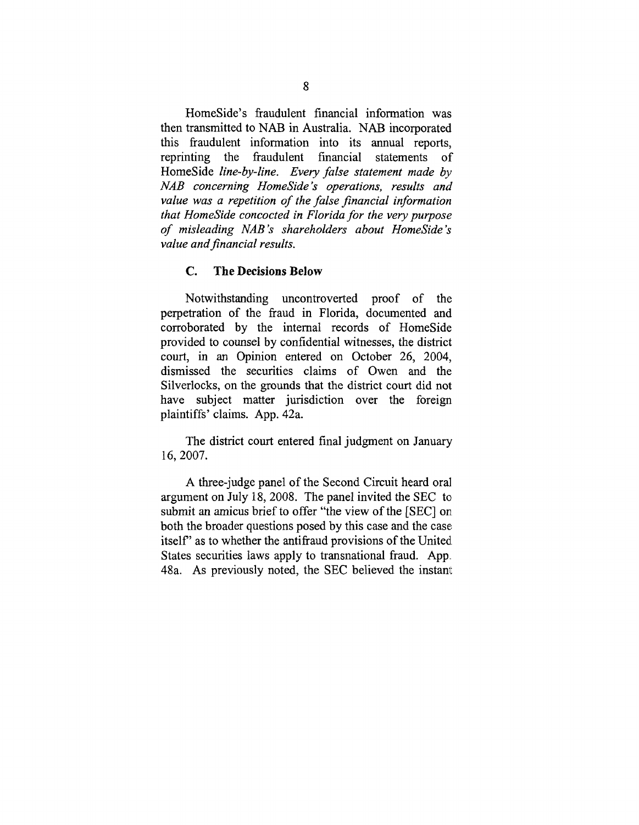HomeSide's fraudulent financial information was then transmitted to NAB in Australia. NAB incorporated this fraudulent information into its annual reports, reprinting the fraudulent financial statements of HomeSide *line-by-line. Every false statement made by NAB concerning HomeSide's operations, results and value was a repetition of the false financial information that HomeSide concocted in Florida for the very purpose of misleading NAB's shareholders about HomeSide's value and financial results.*

#### **C. The Decisions Below**

Notwithstanding uncontroverted proof of the perpetration of the fraud in Florida, documented and corroborated by the internal records of HomeSide provided to counsel by confidential witnesses, the district court, in an Opinion entered on October 26, 2004, dismissed the securities claims of Owen and the Silverlocks, on the grounds that the district court did not have subject matter jurisdiction over the foreign plaintiffs' claims. App. 42a.

The district court entered final judgment on January 16, 2007.

A three-judge panel of the Second Circuit heard oral argument on July 18, 2008. The panel invited the SEC to submit an amicus brief to offer "the view of the [SEC] on both the broader questions posed by this case and the case. itself" as to whether the antifraud provisions of the United. States securities laws apply to transnational fraud. App. 48a. As previously noted, the SEC believed the instant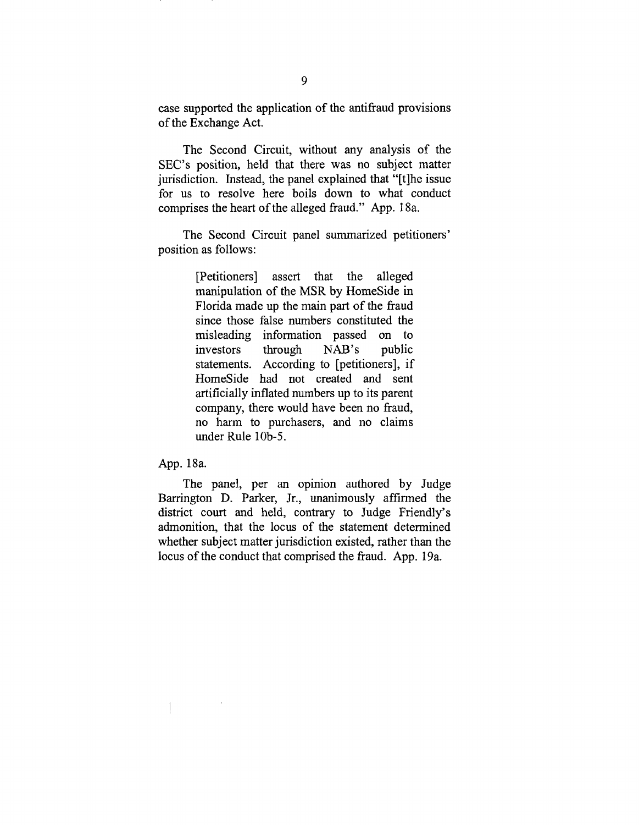case supported the application of the antifraud provisions of the Exchange Act.

The Second Circuit, without any analysis of the SEC's position, held that there was no subject matter jurisdiction. Instead, the panel explained that "[t]he issue for us to resolve here boils down to what conduct comprises the heart of the alleged fraud." App. 18a.

The Second Circuit panel summarized petitioners' position as follows:

> [Petitioners] assert that the alleged manipulation of the MSR by HomeSide in Florida made up the main part of the fraud since those false numbers constituted the misleading information passed on to investors through NAB's public statements. According to [petitioners], if HomeSide had not created and sent artificially inflated numbers up to its parent company, there would have been no fraud, no harm to purchasers, and no claims under Rule 10b-5.

App. 18a.

The panel, per an opinion authored by Judge Barrington D. Parker, Jr., unanimously affirmed the district court and held, contrary to Judge Friendly's admonition, that the locus of the statement determined whether subject matter jurisdiction existed, rather than the locus of the conduct that comprised the fraud. App. 19a.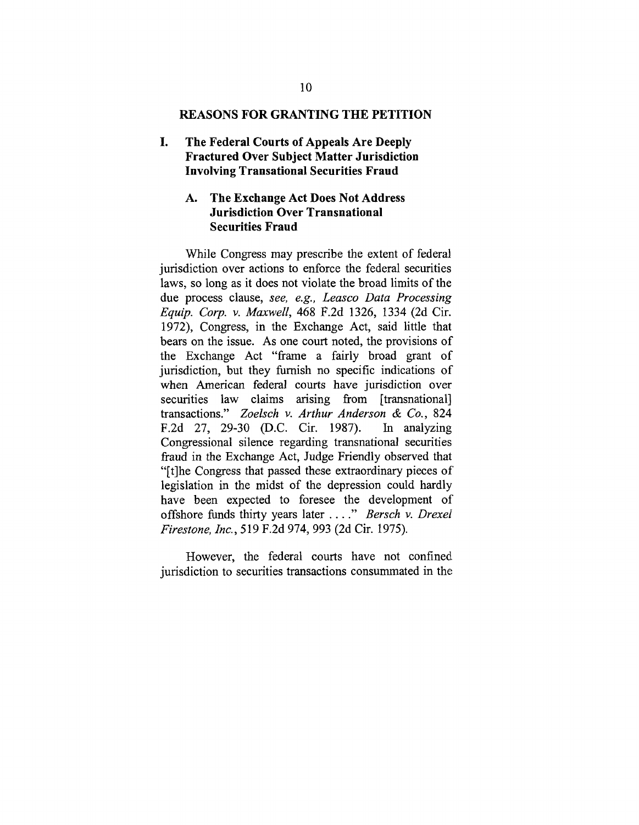### **REASONS FOR GRANTING THE PETITION**

L **The Federal Courts of Appeals Are Deeply Fractured Over Subject Matter Jurisdiction Involving Transational Securities Fraud**

### **Ao The Exchange Act Does Not Address Jurisdiction Over Transnational Securities Fraud**

While Congress may prescribe the extent of federal jurisdiction over actions to enforce the federal securities laws, so long as it does not violate the broad limits of the due process clause, *see, e.g., Leasco Data Processing Equip. Corp. v. Maxwell,* 468 F.2d 1326, 1334 (2d Cir. 1972), Congress, in the Exchange Act, said little that bears on the issue. As one court noted, the provisions of the Exchange Act "frame a fairly broad grant of jurisdiction, but they furnish no specific indications of when American federal courts have jurisdiction over securities law claims arising from [transnational] transactions." *Zoelsch v. Arthur Anderson & Co.*, 824<br>F.2d 27, 29-30 (D.C. Cir. 1987). In analyzing F.2d 27, 29-30 (D.C. Cir. 1987). Congressional silence regarding transnational securities fraud in the Exchange Act, Judge Friendly observed that "It]he Congress that passed these extraordinary pieces of legislation in the midst of the depression could hardly have been expected to foresee the development of offshore funds thirty years later *.... " Bersch v. Drexel Firestone, lnc.,* 519 F.2d 974, 993 (2d Cir. 1975).

However, the federal courts have not confined jurisdiction to securities transactions consummated in the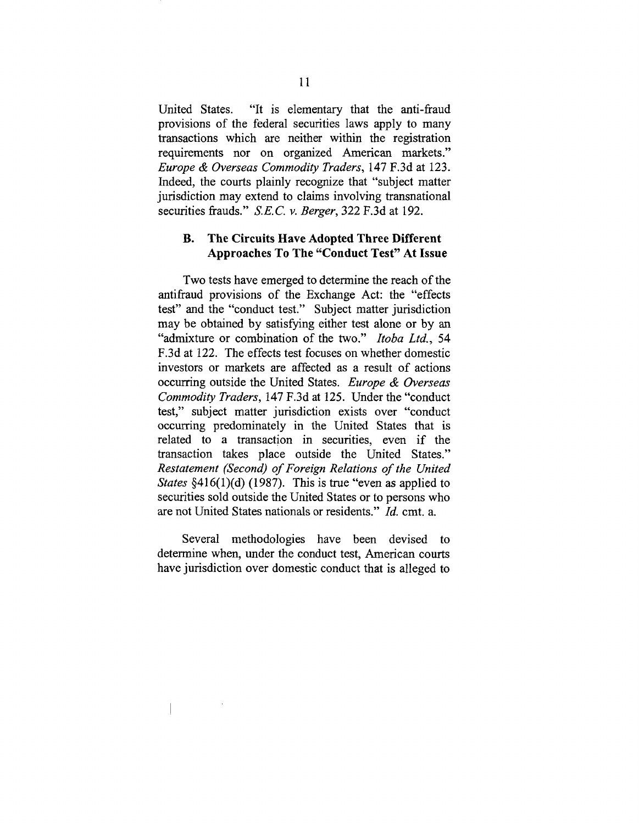United States. "It is elementary that the anti-fraud provisions of the federal securities laws apply to many transactions which are neither within the registration requirements nor on organized American markets." *Europe & Overseas Commodity Traders,* 147 F.3d at 123. Indeed, the courts plainly recognize that "subject matter jurisdiction may extend to claims involving transnational securities frauds." *S.E.C.v. Berger,* 322 F.3d at 192.

### **B. The Circuits Have Adopted Three Different Approaches To The "Conduct Test" At Issue**

Two tests have emerged to determine the reach of the antifraud provisions of the Exchange Act: the "effects test" and the "conduct test." Subject matter jurisdiction may be obtained by satisfying either test alone or by an "admixture or combination of the two." *Itoba Ltd.,* 54 F.3d at 122. The effects test focuses on whether domestic investors or markets are affected as a result of actions occurring outside the United States. *Europe & Overseas Commodity Traders,* 147 F.3d at 125. Under the "conduct test," subject matter jurisdiction exists over "conduct occurring predominately in the United States that is related to a transaction in securities, even if the transaction takes place outside the United States." *Restatement (Second) of Foreign Relations of the United States* §416(1)(d) (1987). This is true "even as applied to securities sold outside the United States or to persons who are not United States nationals or residents." *Id.* cmt. a.

Several methodologies have been devised to determine when, under the conduct test, American courts have jurisdiction over domestic conduct that is alleged to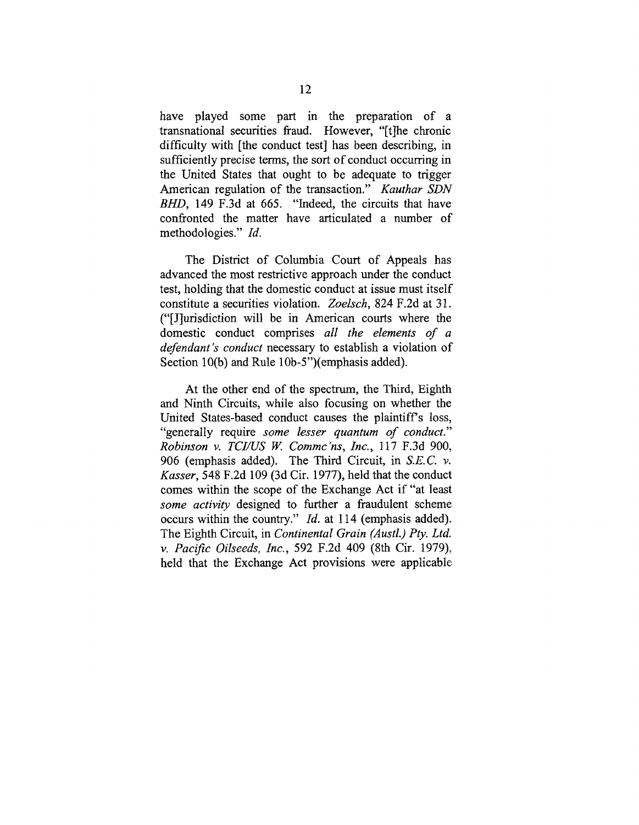have played some part in the preparation of a transnational securities fraud. However, "[t]he chronic difficulty with [the conduct test] has been describing, in sufficiently precise terms, the sort of conduct occurring in the United States that ought to be adequate to trigger American regulation of the transaction." *Kauthar SDN BHD,* 149 F.3d at 665. "Indeed, the circuits that have confronted the matter have articulated a number of methodologies." *Id.*

The District of Columbia Court of Appeals has advanced the most restrictive approach under the conduct test, holding that the domestic conduct at issue must itself constitute a securities violation. *Zoelsch,* 824 F.2d at 31. ("[J]urisdiction will be in American courts where the domestic conduct comprises *all the elements of a defendant's conduct* necessary to establish a violation of Section 10(b) and Rule 10b-5")(emphasis added).

At the other end of the spectrum, the Third, Eighth and Ninth Circuits, while also focusing on whether the United States-based conduct causes the plaintiff's loss, "generally require *some lesser quantum of conduct." Robinson v. TCI/US W. Commc'ns, Inc.,* 117 F.3d 900, 906 (emphasis added). The Third Circuit, in *S.E.C.v. Kasser,* 548 F.2d 109 (3d Cir. 1977), held that the conduct comes within the scope of the Exchange Act if "at least *some activity* designed to further a fraudulent scheme occurs within the country." *Id.* at 114 (emphasis added). The Eighth Circuit, in *Continental Grain (Austl.) Pry. Ltd. v. Pacific Oilseeds, Inc.,* 592 F.2d 409 (8th Cir. 1979),. held that the Exchange Act provisions were applicable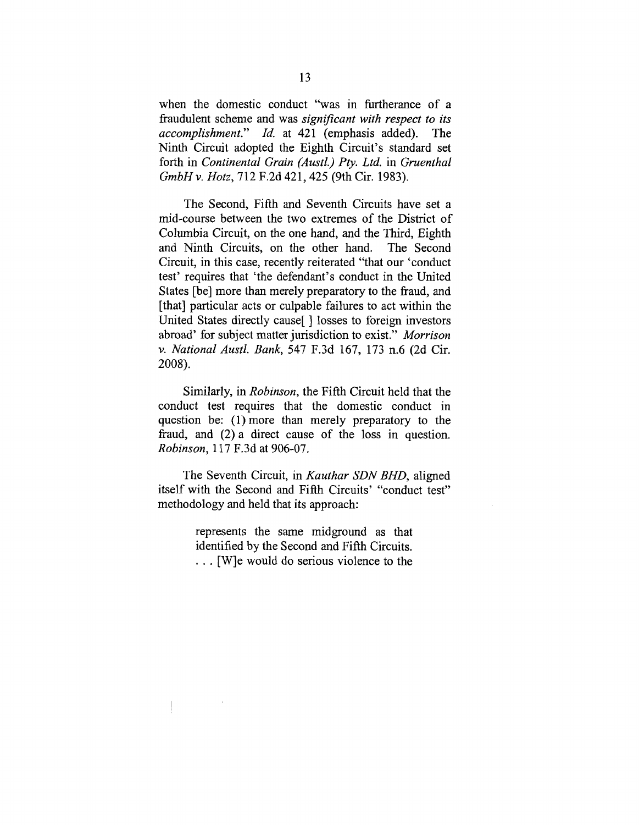when the domestic conduct "was in furtherance of a fraudulent scheme and was *significant with respect to its accomplishment." ld.* at 421 (emphasis added). The Ninth Circuit adopted the Eighth Circuit's standard set forth in *Continental Grain (Austl.) Pty. Ltd.* in *Gruenthal GmbHv. Hotz,* 712 F.2d 421,425 (9th Cir. 1983).

The Second, Fifth and Seventh Circuits have set a mid-course between the two extremes of the District of Columbia Circuit, on the one hand, and the Third, Eighth and Ninth Circuits, on the other hand. The Second Circuit, in this case, recently reiterated "that our 'conduct test' requires that 'the defendant's conduct in the United States [be] more than merely preparatory to the fraud, and [that] particular acts or culpable failures to act within the United States directly cause[ ] losses to foreign investors abroad' for subject matter jurisdiction to exist." *Morrison v. National Austl. Bank,* 547 F.3d 167, 173 n.6 (2d Cir. 2008).

Similarly, in *Robinson,* the Fifth Circuit held that the conduct test requires that the domestic conduct in question be: (1) more than merely preparatory to the fraud, and (2) a direct cause of the loss in question. *Robinson,* 117 F.3d at 906-07.

The Seventh Circuit, in *Kauthar SDN BHD,* aligned itself with the Second and Fifth Circuits' "conduct test" methodology and held that its approach:

> represents the same midground as that identified by the Second and Fifth Circuits. ... [W]e would do serious violence to the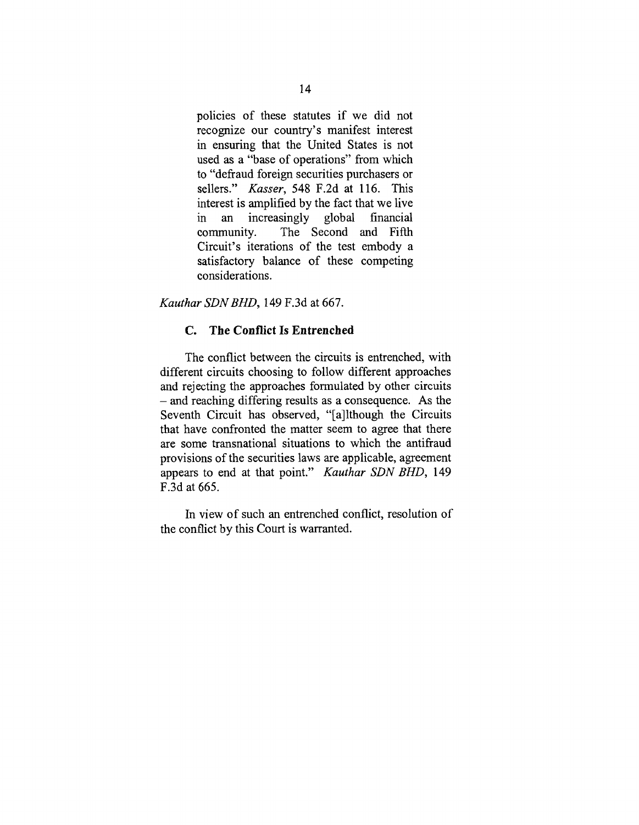policies of these statutes if we did not recognize our country's manifest interest in ensuring that the United States is not used as a "base of operations" from which to "defraud foreign securities purchasers or sellers." *Kasser,* 548 F.2d at 116. This interest is amplified by the fact that we live in an increasingly global financial<br>community. The Second and Fifth The Second and Fifth Circuit's iterations of the test embody a satisfactory balance of these competing considerations.

*Kauthar SDNBHD,* 149 F.3d at 667.

### **C. The Conflict Is Entrenched**

The conflict between the circuits is entrenched, with different circuits choosing to follow different approaches and rejecting the approaches formulated by other circuits **-** and reaching differing results as a consequence. As the Seventh Circuit has observed, "[a]lthough the Circuits that have confronted the matter seem to agree that there are some transnational situations to which the antifraud provisions of the securities laws are applicable, agreement appears to end at that point." *Kauthar SDN BHD,* 149 F.3d at 665.

In view of such an entrenched conflict, resolution of the conflict by this Court is warranted.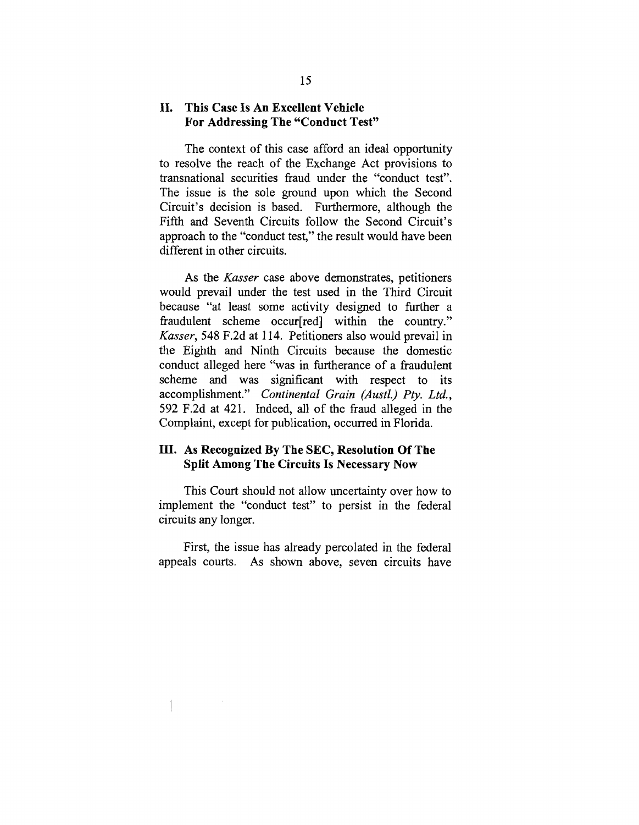### **II. This Case Is An Excellent Vehicle For Addressing The "Conduct Test"**

The context of this case afford an ideal opportunity to resolve the reach of the Exchange Act provisions to transnational securities fraud under the "conduct test". The issue is the sole ground upon which the Second Circuit's decision is based. Furthermore, although the Fifth and Seventh Circuits follow the Second Circuit's approach to the "conduct test," the result would have been different in other circuits.

As the *Kasser* case above demonstrates, petitioners would prevail under the test used in the Third Circuit because "at least some activity designed to further a fraudulent scheme occur[red] within the country." *Kasser,* 548 F.2d at 114. Petitioners also would prevail in the Eighth and Ninth Circuits because the domestic conduct alleged here "was in furtherance of a fraudulent scheme and was significant with respect to its accomplishment." *Continental Grain (Austl.) Pty. Ltd.,* 592 F.2d at 421. Indeed, all of the fraud alleged in the Complaint, except for publication, occurred in Florida.

### **III. As Recognized By The SEC, Resolution Of The Split Among The Circuits Is Necessary Now**

This Court should not allow uncertainty over how to implement the "conduct test" to persist in the federal circuits any longer.

First, the issue has already percolated in the federal appeals courts. As shown above, seven circuits have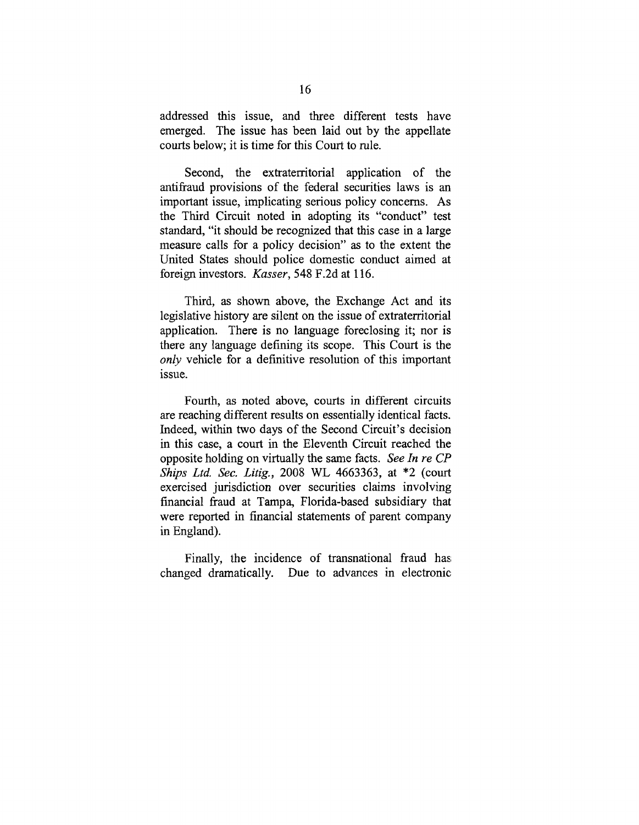addressed this issue, and three different tests have emerged. The issue has been laid out by the appellate courts below; it is time for this Court to rule.

Second, the extraterritorial application of the antifraud provisions of the federal securities laws is an important issue, implicating serious policy concerns. As the Third Circuit noted in adopting its "conduct" test standard, "it should be recognized that this case in a large measure calls for a policy decision" as to the extent the United States should police domestic conduct aimed at foreign investors. *Kasser,* 548 F.2d at 116.

Third, as shown above, the Exchange Act and its legislative history are silent on the issue of extraterritorial application. There is no language foreclosing it; nor is there any language defining its scope. This Court is the *only* vehicle for a definitive resolution of this important issue.

Fourth, as noted above, courts in different circuits are reaching different results on essentially identical facts. Indeed, within two days of the Second Circuit's decision in this case, a court in the Eleventh Circuit reached the opposite holding on virtually the same facts. *See In re CP Ships Ltd. Sec. Litig.,* 2008 WL 4663363, at \*2 (court exercised jurisdiction over securities claims involving financial fraud at Tampa, Florida-based subsidiary that were reported in financial statements of parent company in England).

Finally, the incidence of transnational fraud has changed dramatically. Due to advances in electronic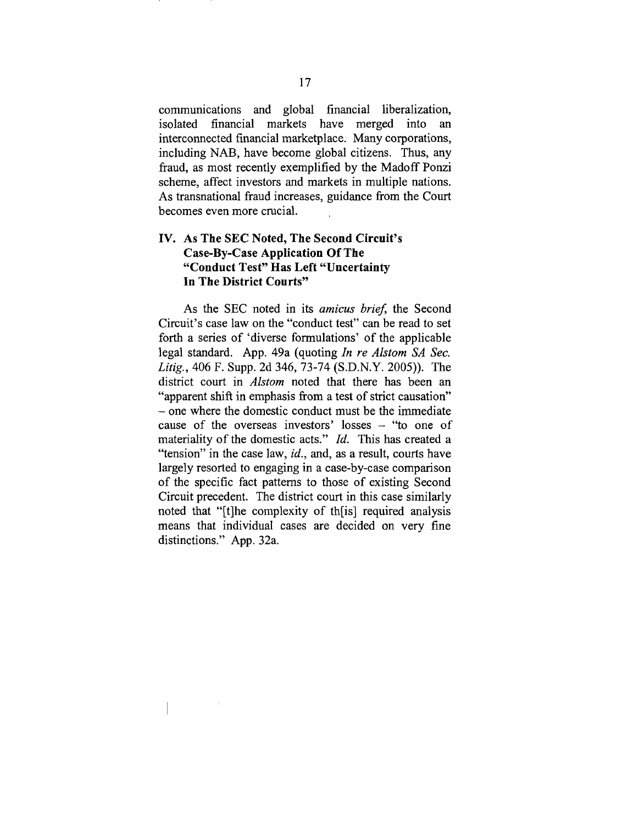communications and global financial liberalization, isolated financial markets have merged into an interconnected financial marketplace. Many corporations, including NAB, have become global citizens. Thus, any fraud, as most recently exemplified by the Madoff Ponzi scheme, affect investors and markets in multiple nations. As transnational fraud increases, guidance from the Court becomes even more crucial.

### **IV. As The SEC Noted, The Second Circuit's Case-By-Case Application Of The "Conduct Test" Has Left "Uncertainty In The District Courts"**

As the SEC noted in its *amicus brief*, the Second Circuit's case law on the "conduct test" can be read to set forth a series of 'diverse formulations' of the applicable legal standard. App. 49a (quoting *In re Alstom SA Sec. Litig.,* 406 F. Supp. 2d 346, 73-74 (S.D.N.Y. 2005)). The district court in *Alstom* noted that there has been an "apparent shift in emphasis from a test of strict causation" **-** one where the domestic conduct must be the immediate cause of the overseas investors' losses  $-$  "to one of materiality of the domestic acts."  $Id$ . This has created a "tension" in the case law, *id.,* and, as a result, courts have largely resorted to engaging in a case-by-case comparison of the specific fact patterns to those of existing Second Circuit precedent. The district court in this case similarly noted that "[t]he complexity of th[is] required analysis means that individual cases are decided on very fine distinctions." App. 32a.

 $\pm$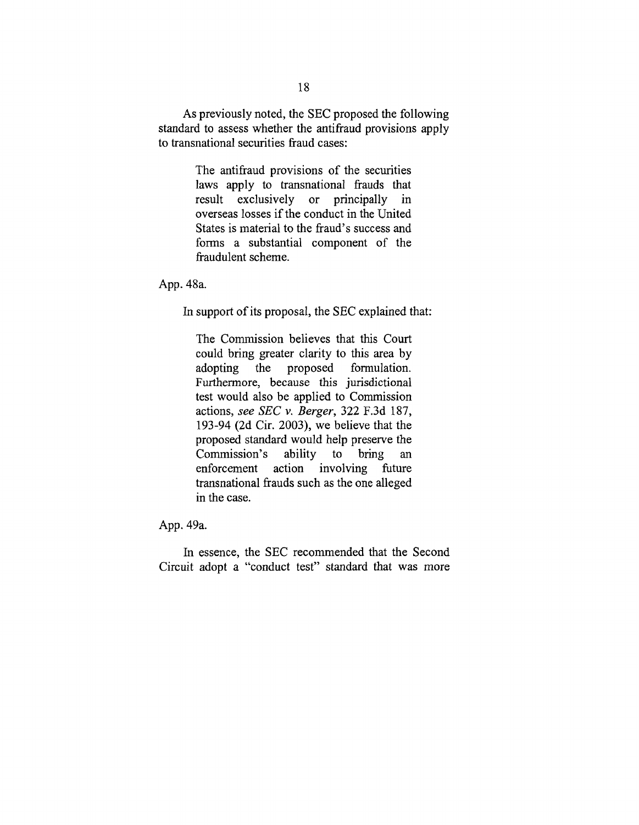As previously noted, the SEC proposed the following standard to assess whether the antifraud provisions apply to transnational securities fraud cases:

> The antifraud provisions of the securities laws apply to transnational frauds that result exclusively or principally in overseas losses if the conduct in the United States is material to the fraud's success and forms a substantial component of the fraudulent scheme.

App. 48a.

In support of its proposal, the SEC explained that:

The Commission believes that this Court could bring greater clarity to this area by adopting the proposed formulation. Furthermore, because this jurisdictional test would also be applied to Commission actions, *see SEC v. Berger,* 322 F.3d 187, 193-94 (2d Cir. 2003), we believe that the proposed standard would help preserve the Commission's ability to bring an<br>enforcement action involving future enforcement action involving future transnational frauds such as the one alleged in the case.

App. 49a.

In essence, the SEC recommended that the Second Circuit adopt a "conduct test" standard that was more